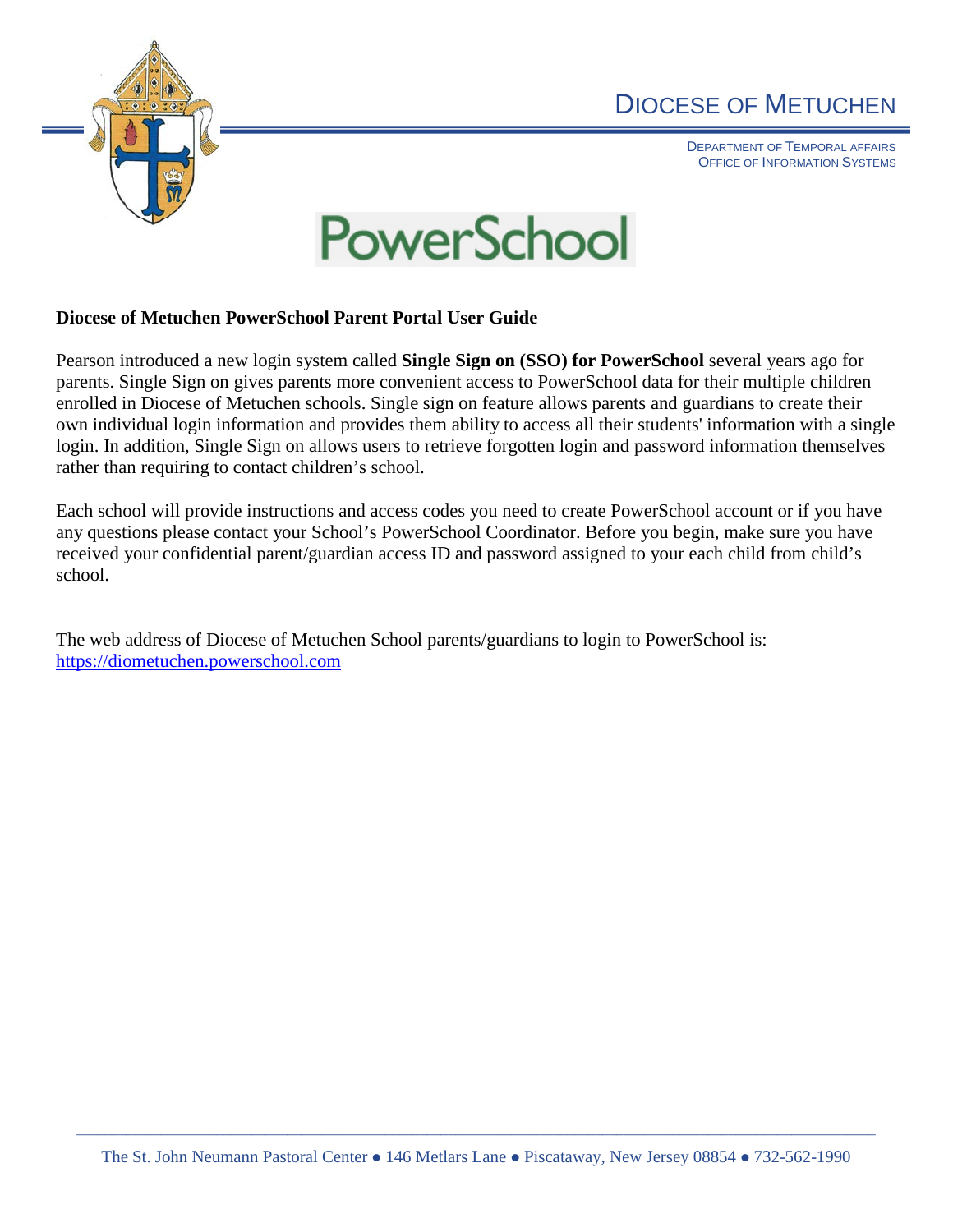

## DIOCESE OF METUCHEN

DEPARTMENT OF TEMPORAL AFFAIRS OFFICE OF INFORMATION SYSTEMS



## **Diocese of Metuchen PowerSchool Parent Portal User Guide**

Pearson introduced a new login system called **Single Sign on (SSO) for PowerSchool** several years ago for parents. Single Sign on gives parents more convenient access to PowerSchool data for their multiple children enrolled in Diocese of Metuchen schools. Single sign on feature allows parents and guardians to create their own individual login information and provides them ability to access all their students' information with a single login. In addition, Single Sign on allows users to retrieve forgotten login and password information themselves rather than requiring to contact children's school.

Each school will provide instructions and access codes you need to create PowerSchool account or if you have any questions please contact your School's PowerSchool Coordinator. Before you begin, make sure you have received your confidential parent/guardian access ID and password assigned to your each child from child's school.

The web address of Diocese of Metuchen School parents/guardians to login to PowerSchool is: [https://diometuchen.powerschool.com](https://diometuchen.powerschool.com/)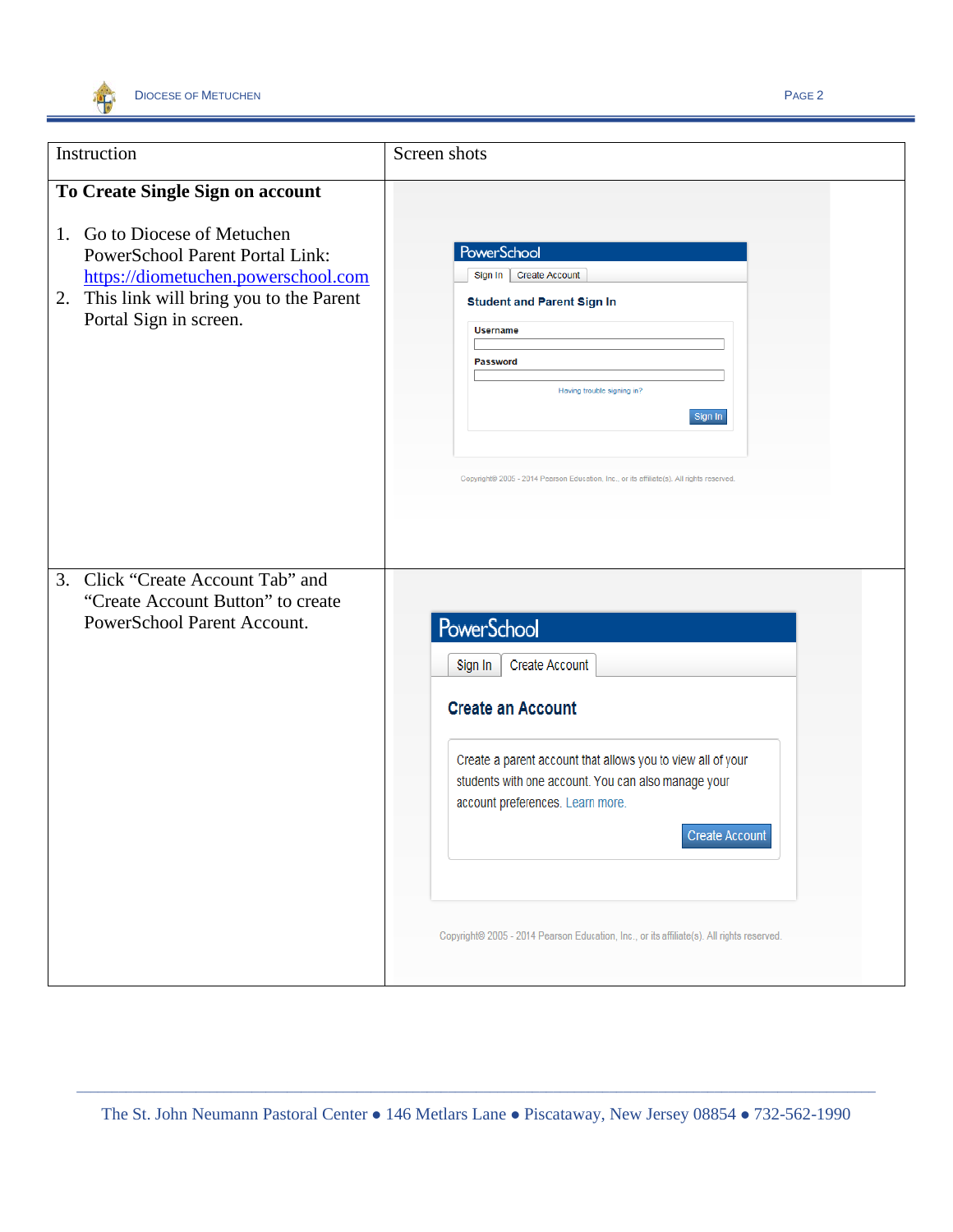

| Instruction                                                                                                                                                                             | Screen shots                                                                                                                                                                                                                                                                                                                                                |
|-----------------------------------------------------------------------------------------------------------------------------------------------------------------------------------------|-------------------------------------------------------------------------------------------------------------------------------------------------------------------------------------------------------------------------------------------------------------------------------------------------------------------------------------------------------------|
| To Create Single Sign on account                                                                                                                                                        |                                                                                                                                                                                                                                                                                                                                                             |
| 1. Go to Diocese of Metuchen<br><b>PowerSchool Parent Portal Link:</b><br>https://diometuchen.powerschool.com<br>This link will bring you to the Parent<br>2.<br>Portal Sign in screen. | <b>PowerSchool</b><br><b>Create Account</b><br>Sign In<br><b>Student and Parent Sign In</b><br><b>Username</b><br><b>Password</b><br>Having trouble signing in?<br>Sign In<br>Copyright® 2005 - 2014 Pearson Education, Inc., or its affiliate(s). All rights reserved.                                                                                     |
| 3. Click "Create Account Tab" and<br>"Create Account Button" to create<br>PowerSchool Parent Account.                                                                                   | PowerSchool<br><b>Create Account</b><br>Sign In<br><b>Create an Account</b><br>Create a parent account that allows you to view all of your<br>students with one account. You can also manage your<br>account preferences. Learn more.<br><b>Create Account</b><br>Copyright© 2005 - 2014 Pearson Education, Inc., or its affiliate(s). All rights reserved. |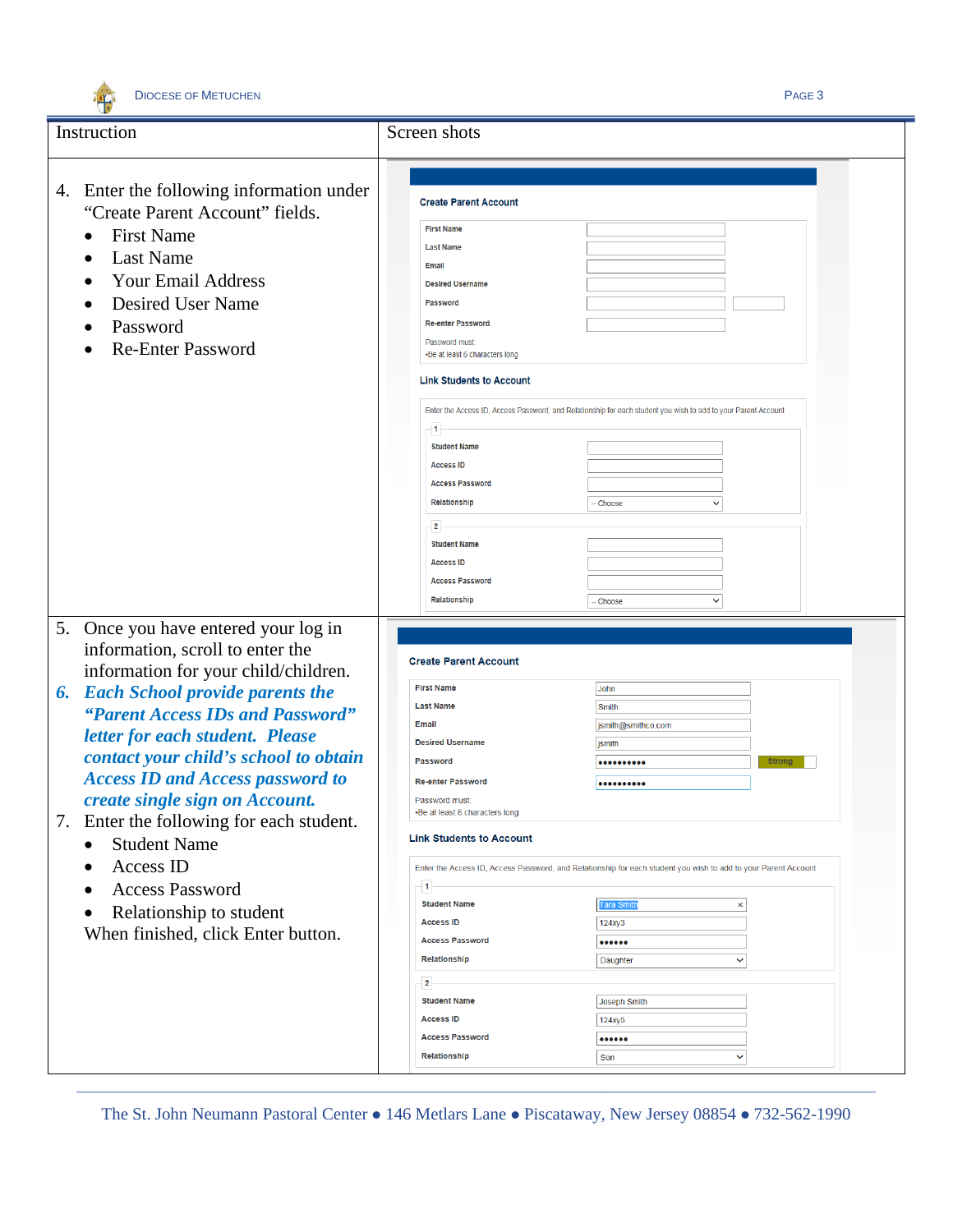

| Instruction<br>Screen shots<br>4. Enter the following information under<br><b>Create Parent Account</b>                                       |  |
|-----------------------------------------------------------------------------------------------------------------------------------------------|--|
|                                                                                                                                               |  |
|                                                                                                                                               |  |
|                                                                                                                                               |  |
| "Create Parent Account" fields.                                                                                                               |  |
| <b>First Name</b><br><b>First Name</b><br>$\bullet$                                                                                           |  |
| <b>Last Name</b><br><b>Last Name</b><br>$\bullet$                                                                                             |  |
| <b>Email</b><br><b>Your Email Address</b><br><b>Desired Username</b>                                                                          |  |
| <b>Desired User Name</b><br>Password                                                                                                          |  |
| <b>Re-enter Password</b>                                                                                                                      |  |
| Password<br>Password must:                                                                                                                    |  |
| <b>Re-Enter Password</b><br>•Be at least 6 characters long                                                                                    |  |
| <b>Link Students to Account</b>                                                                                                               |  |
| Enter the Access ID, Access Password, and Relationship for each student you wish to add to your Parent Account                                |  |
| $\overline{1}$                                                                                                                                |  |
| <b>Student Name</b>                                                                                                                           |  |
| <b>Access ID</b><br><b>Access Password</b>                                                                                                    |  |
| Relationship<br>Choose<br>v                                                                                                                   |  |
|                                                                                                                                               |  |
| $\overline{\mathbf{2}}$<br><b>Student Name</b>                                                                                                |  |
| <b>Access ID</b>                                                                                                                              |  |
| <b>Access Password</b>                                                                                                                        |  |
| Relationship<br>$\checkmark$<br><b>Choose</b>                                                                                                 |  |
|                                                                                                                                               |  |
| 5. Once you have entered your log in                                                                                                          |  |
| information, scroll to enter the<br><b>Create Parent Account</b>                                                                              |  |
| information for your child/children.                                                                                                          |  |
| <b>First Name</b><br>John<br><b>Each School provide parents the</b><br>6.                                                                     |  |
| <b>Last Name</b><br>Smith<br>"Parent Access IDs and Password"<br>Email<br>jsmith@smithco.com                                                  |  |
| letter for each student. Please<br><b>Desired Username</b><br>jsmith                                                                          |  |
| contact your child's school to obtain<br>Password<br><b>Strong</b><br>                                                                        |  |
| <b>Access ID and Access password to</b><br><b>Re-enter Password</b><br>                                                                       |  |
| create single sign on Account.<br>Password must:                                                                                              |  |
| -Be at least 6 characters long<br>7.<br>Enter the following for each student.                                                                 |  |
| <b>Link Students to Account</b><br><b>Student Name</b><br>$\bullet$                                                                           |  |
| Access ID                                                                                                                                     |  |
| Enter the Access ID, Access Password, and Relationship for each student you wish to add to your Parent Account<br>$\bullet$<br>$\overline{1}$ |  |
| <b>Access Password</b><br>$\bullet$<br><b>Student Name</b><br><b>Tara Smitl</b><br>$\pmb{\times}$                                             |  |
| Relationship to student<br><b>Access ID</b><br>124xy3                                                                                         |  |
| When finished, click Enter button.<br><b>Access Password</b><br>                                                                              |  |
| Relationship<br>Daughter<br>v                                                                                                                 |  |
| $\overline{2}$                                                                                                                                |  |
| <b>Student Name</b><br>Joseph Smith                                                                                                           |  |
|                                                                                                                                               |  |
| <b>Access ID</b><br>124xy5                                                                                                                    |  |
| <b>Access Password</b><br>                                                                                                                    |  |

\_\_\_\_\_\_\_\_\_\_\_\_\_\_\_\_\_\_\_\_\_\_\_\_\_\_\_\_\_\_\_\_\_\_\_\_\_\_\_\_\_\_\_\_\_\_\_\_\_\_\_\_\_\_\_\_\_\_\_\_\_\_\_\_\_\_\_\_\_\_\_\_\_\_\_\_\_\_\_\_\_\_\_\_\_\_\_\_\_\_\_\_\_\_\_\_\_\_\_\_\_\_\_\_\_\_\_\_\_\_\_\_\_\_ The St. John Neumann Pastoral Center . 146 Metlars Lane . Piscataway, New Jersey 08854 . 732-562-1990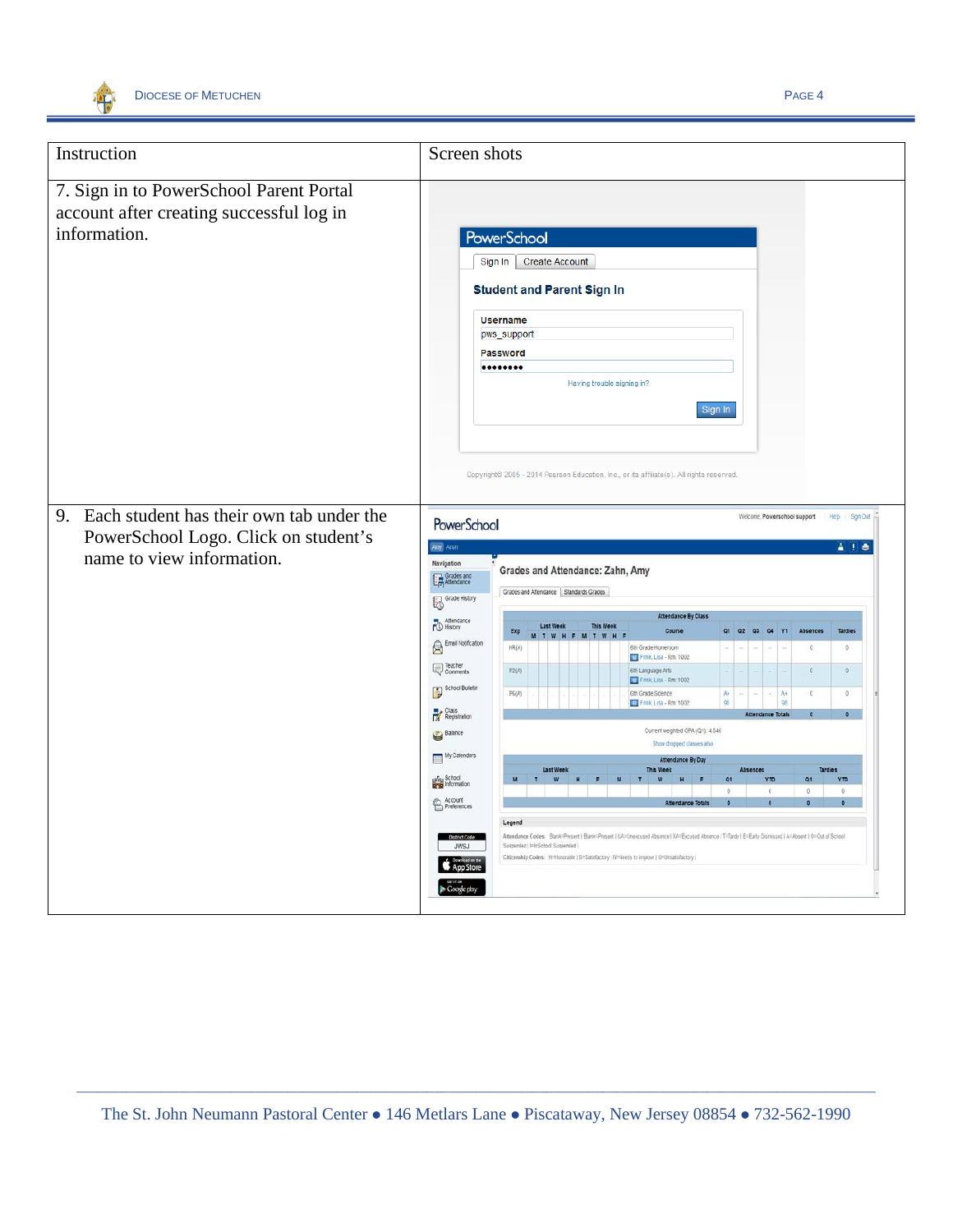

| Instruction                                                                                                      | Screen shots                                                                                                                                                                                                                                                                                                                                                                                                                                                                                                                                                                                                                                                                                                                                                                                                                                                                                                                                                                                                                                                                                                                                                                                  |
|------------------------------------------------------------------------------------------------------------------|-----------------------------------------------------------------------------------------------------------------------------------------------------------------------------------------------------------------------------------------------------------------------------------------------------------------------------------------------------------------------------------------------------------------------------------------------------------------------------------------------------------------------------------------------------------------------------------------------------------------------------------------------------------------------------------------------------------------------------------------------------------------------------------------------------------------------------------------------------------------------------------------------------------------------------------------------------------------------------------------------------------------------------------------------------------------------------------------------------------------------------------------------------------------------------------------------|
| 7. Sign in to PowerSchool Parent Portal<br>account after creating successful log in<br>information.              | <b>PowerSchool</b><br><b>Create Account</b><br>Sign In<br><b>Student and Parent Sign In</b><br><b>Username</b><br>pws_support<br>Password<br><br>Having trouble signing in?<br>Sign In                                                                                                                                                                                                                                                                                                                                                                                                                                                                                                                                                                                                                                                                                                                                                                                                                                                                                                                                                                                                        |
| 9. Each student has their own tab under the<br>PowerSchool Logo. Click on student's<br>name to view information. | Copyright@ 2005 - 2014 Pearson Education, Inc., or its affiliate(s). All rights reserved.<br>Welcome, Powerschool support<br>Heip Sign Out<br>PowerSchool<br>Amy Ansh<br>A I e<br>Navigation<br>Grades and Attendance: Zahn, Amy<br>Grades and<br>Graces and Attendance   Standards Grades<br>Grade History                                                                                                                                                                                                                                                                                                                                                                                                                                                                                                                                                                                                                                                                                                                                                                                                                                                                                   |
|                                                                                                                  | <b>Attendance By Class</b><br>Attendance<br><b>Last Week</b><br><b>This Week</b><br>Course<br>01 02 03 04<br>Y <sub>1</sub><br>Absences<br><b>Tardies</b><br>Exp<br>F M T W H<br>Email Notification<br>HR(A)<br>6th Grade Homeroom<br>0<br>$\circ$<br>Frink, Lisa - Rm. 1002<br>Teacher<br>6th Language Arts<br>P2(A)<br>$\mathbb{O}^-$<br>$\theta$<br>Frink Lisa - Rm 1002<br>School Bulletin<br>PG(A)<br>6th Grade Science<br>$\mathbb{C}$<br>$\circ$<br>$A +$<br>$A +$<br>Frink, Lisa - Rm: 1002<br>98<br>98<br>Class<br>Registration<br>$\bullet$<br>Current weighted GPA (Q1): 4.546<br>Balance<br>Show dropped classes also<br>My Calendars<br><b>Attendance By Day</b><br><b>Last Week</b><br>Absences<br>Tardies<br>print School<br>YTO<br>O1<br>Q <sub>1</sub><br><b>YTD</b><br>0<br>$\ddot{\circ}$<br>Account<br>Preferences<br><b>Ittendance Total</b><br>Legend<br>Attendance Codes: Blank=Present   Blank=Present   UA=Unercused Absence   XA=Excused Absence   T=Tardy   E=Early Dismissed   A=Absent   O=Out of School<br>Suspended   I=InSchool Suspended  <br>JWSJ<br>Citizenship Codes: H=Honorable   S=Satisfactory   N=Needs to improve   U=Unsatisfactory  <br>App Store |